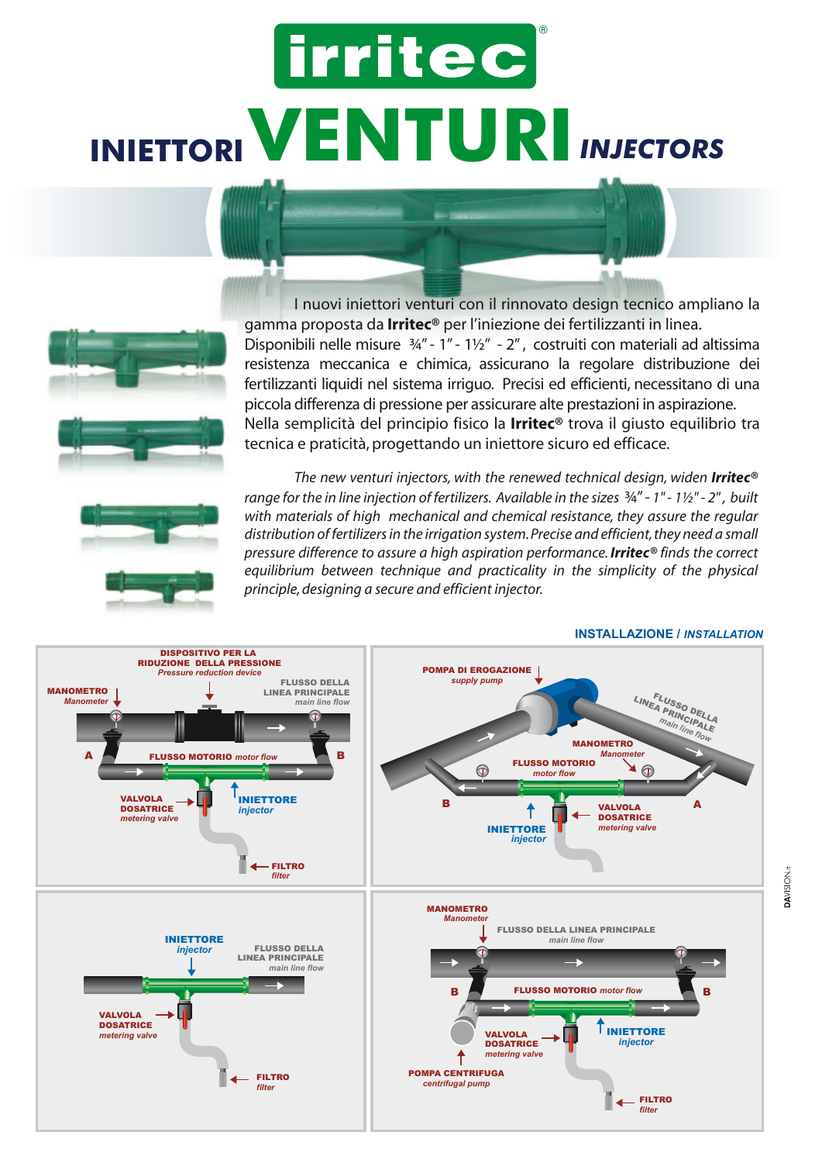# irritec **INIETTORIVENTURI***INJECTORS*



 I nuovi iniettori venturi con il rinnovato design tecnico ampliano la gamma proposta da **Irritec®** per l'iniezione dei fertilizzanti in linea. Disponibili nelle misure ¾" - 1" - 1½" - 2" , costruiti con materiali ad altissima resistenza meccanica e chimica, assicurano la regolare distribuzione dei fertilizzanti liquidi nel sistema irriguo. Precisi ed efficienti, necessitano di una piccola differenza di pressione per assicurare alte prestazioni in aspirazione. Nella semplicità del principio fisico la **Irritec®** trova il giusto equilibrio tra tecnica e praticità, progettando un iniettore sicuro ed efficace.



*The new venturi injectors, with the renewed technical design, widen Irritec<sup>®</sup> range for the in line injection of fertilizers. Available in the sizes* ¾" - *1" - 1½" - 2" , built with materials of high mechanical and chemical resistance, they assure the regular distribution of fertilizers in the irrigation system. Precise and efficient, they need a small pressure difference to assure a high aspiration performance. Irritec® finds the correct equilibrium between technique and practicality in the simplicity of the physical principle, designing a secure and efficient injector.*



#### **INSTALLAZIONE /** *INSTALLATION*